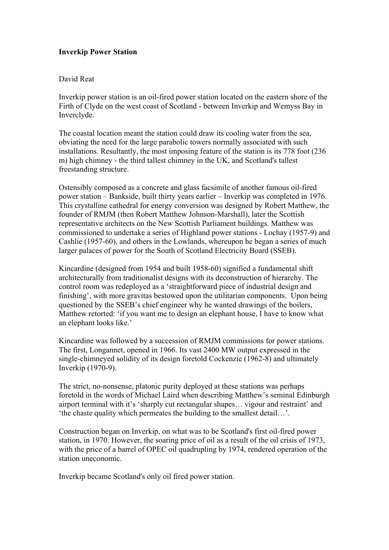## **Inverkip Power Station**

## David Reat

Inverkip power station is an oil-fired power station located on the eastern shore of the Firth of Clyde on the west coast of Scotland - between Inverkip and Wemyss Bay in Inverclyde.

The coastal location meant the station could draw its cooling water from the sea, obviating the need for the large parabolic towers normally associated with such installations. Resultantly, the most imposing feature of the station is its 778 foot (236 m) high chimney - the third tallest chimney in the UK, and Scotland's tallest freestanding structure.

Ostensibly composed as a concrete and glass facsimile of another famous oil-fired power station – Bankside, built thirty years earlier – Inverkip was completed in 1976. This crystalline cathedral for energy conversion was designed by Robert Matthew, the founder of RMJM (then Robert Matthew Johnson-Marshall), later the Scottish representative architects on the New Scottish Parliament buildings. Matthew was commissioned to undertake a series of Highland power stations - Lochay (1957-9) and Cashlie (1957-60), and others in the Lowlands, whereupon he began a series of much larger palaces of power for the South of Scotland Electricity Board (SSEB).

Kincardine (designed from 1954 and built 1958-60) signified a fundamental shift architecturally from traditionalist designs with its deconstruction of hierarchy. The control room was redeployed as a ëstraightforward piece of industrial design and finishing', with more gravitas bestowed upon the utilitarian components. Upon being questioned by the SSEB's chief engineer why he wanted drawings of the boilers, Matthew retorted: ëif you want me to design an elephant house, I have to know what an elephant looks like.<sup>7</sup>

Kincardine was followed by a succession of RMJM commissions for power stations. The first, Longannet, opened in 1966. Its vast 2400 MW output expressed in the single-chimneyed solidity of its design foretold Cockenzie (1962-8) and ultimately Inverkip (1970-9).

The strict, no-nonsense, platonic purity deployed at these stations was perhaps foretold in the words of Michael Laird when describing Matthew's seminal Edinburgh airport terminal with it's 'sharply cut rectangular shapes... vigour and restraint' and 'the chaste quality which permeates the building to the smallest detail $\ldots$ '.

Construction began on Inverkip, on what was to be Scotland's first oil-fired power station, in 1970. However, the soaring price of oil as a result of the oil crisis of 1973, with the price of a barrel of OPEC oil quadrupling by 1974, rendered operation of the station uneconomic.

Inverkip became Scotland's only oil fired power station.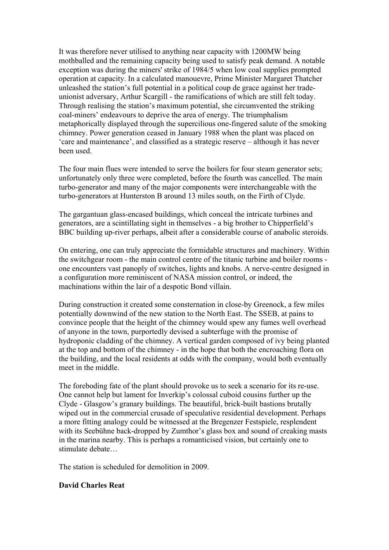It was therefore never utilised to anything near capacity with 1200MW being mothballed and the remaining capacity being used to satisfy peak demand. A notable exception was during the miners' strike of 1984/5 when low coal supplies prompted operation at capacity. In a calculated manouevre, Prime Minister Margaret Thatcher unleashed the station's full potential in a political coup de grace against her tradeunionist adversary, Arthur Scargill - the ramifications of which are still felt today. Through realising the station's maximum potential, she circumvented the striking coal-miners' endeavours to deprive the area of energy. The triumphalism metaphorically displayed through the supercilious one-fingered salute of the smoking chimney. Power generation ceased in January 1988 when the plant was placed on <sup>e</sup> care and maintenance<sup>2</sup>, and classified as a strategic reserve – although it has never been used.

The four main flues were intended to serve the boilers for four steam generator sets; unfortunately only three were completed, before the fourth was cancelled. The main turbo-generator and many of the major components were interchangeable with the turbo-generators at Hunterston B around 13 miles south, on the Firth of Clyde.

The gargantuan glass-encased buildings, which conceal the intricate turbines and generators, are a scintillating sight in themselves - a big brother to Chipperfield's BBC building up-river perhaps, albeit after a considerable course of anabolic steroids.

On entering, one can truly appreciate the formidable structures and machinery. Within the switchgear room - the main control centre of the titanic turbine and boiler rooms one encounters vast panoply of switches, lights and knobs. A nerve-centre designed in a configuration more reminiscent of NASA mission control, or indeed, the machinations within the lair of a despotic Bond villain.

During construction it created some consternation in close-by Greenock, a few miles potentially downwind of the new station to the North East. The SSEB, at pains to convince people that the height of the chimney would spew any fumes well overhead of anyone in the town, purportedly devised a subterfuge with the promise of hydroponic cladding of the chimney. A vertical garden composed of ivy being planted at the top and bottom of the chimney - in the hope that both the encroaching flora on the building, and the local residents at odds with the company, would both eventually meet in the middle.

The foreboding fate of the plant should provoke us to seek a scenario for its re-use. One cannot help but lament for Inverkip's colossal cuboid cousins further up the Clyde - Glasgow's granary buildings. The beautiful, brick-built bastions brutally wiped out in the commercial crusade of speculative residential development. Perhaps a more fitting analogy could be witnessed at the Bregenzer Festspiele, resplendent with its Seebühne back-dropped by Zumthor's glass box and sound of creaking masts in the marina nearby. This is perhaps a romanticised vision, but certainly one to stimulate debate

The station is scheduled for demolition in 2009.

## **David Charles Reat**